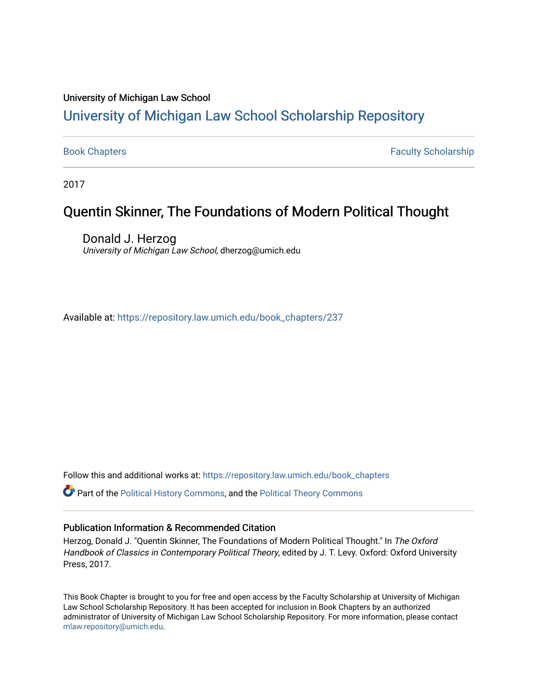#### University of Michigan Law School

### [University of Michigan Law School Scholarship Repository](https://repository.law.umich.edu/)

[Book Chapters](https://repository.law.umich.edu/book_chapters) Faculty Scholarship

2017

### Quentin Skinner, The Foundations of Modern Political Thought

Donald J. Herzog University of Michigan Law School, dherzog@umich.edu

Available at: [https://repository.law.umich.edu/book\\_chapters/237](https://repository.law.umich.edu/book_chapters/237) 

Follow this and additional works at: [https://repository.law.umich.edu/book\\_chapters](https://repository.law.umich.edu/book_chapters?utm_source=repository.law.umich.edu%2Fbook_chapters%2F237&utm_medium=PDF&utm_campaign=PDFCoverPages)

Part of the [Political History Commons,](http://network.bepress.com/hgg/discipline/505?utm_source=repository.law.umich.edu%2Fbook_chapters%2F237&utm_medium=PDF&utm_campaign=PDFCoverPages) and the [Political Theory Commons](http://network.bepress.com/hgg/discipline/391?utm_source=repository.law.umich.edu%2Fbook_chapters%2F237&utm_medium=PDF&utm_campaign=PDFCoverPages)

#### Publication Information & Recommended Citation

Herzog, Donald J. "Quentin Skinner, The Foundations of Modern Political Thought." In The Oxford Handbook of Classics in Contemporary Political Theory, edited by J. T. Levy. Oxford: Oxford University Press, 2017.

This Book Chapter is brought to you for free and open access by the Faculty Scholarship at University of Michigan Law School Scholarship Repository. It has been accepted for inclusion in Book Chapters by an authorized administrator of University of Michigan Law School Scholarship Repository. For more information, please contact [mlaw.repository@umich.edu.](mailto:mlaw.repository@umich.edu)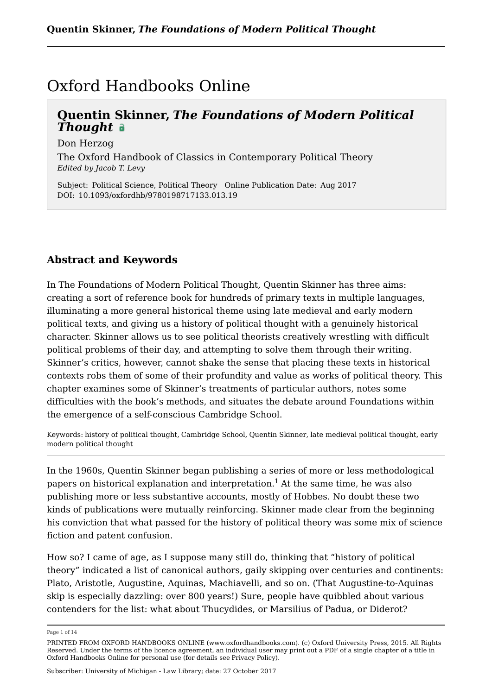### Oxford Handbooks Online

### **Quentin Skinner,** *The Foundations of Modern Political Thought*

Don Herzog

The Oxford Handbook of Classics in Contemporary Political Theory *Edited by Jacob T. Levy*

Subject: Political Science, Political Theory Online Publication Date: Aug 2017 DOI: 10.1093/oxfordhb/9780198717133.013.19

#### **Abstract and Keywords**

In The Foundations of Modern Political Thought, Quentin Skinner has three aims: creating a sort of reference book for hundreds of primary texts in multiple languages, illuminating a more general historical theme using late medieval and early modern political texts, and giving us a history of political thought with a genuinely historical character. Skinner allows us to see political theorists creatively wrestling with difficult political problems of their day, and attempting to solve them through their writing. Skinner's critics, however, cannot shake the sense that placing these texts in historical contexts robs them of some of their profundity and value as works of political theory. This chapter examines some of Skinner's treatments of particular authors, notes some difficulties with the book's methods, and situates the debate around Foundations within the emergence of a self-conscious Cambridge School.

Keywords: history of political thought, Cambridge School, Quentin Skinner, late medieval political thought, early modern political thought

In the 1960s, Quentin Skinner began publishing a series of more or less methodological papers on historical explanation and interpretation. $^{\rm 1}$  At the same time, he was also publishing more or less substantive accounts, mostly of Hobbes. No doubt these two kinds of publications were mutually reinforcing. Skinner made clear from the beginning his conviction that what passed for the history of political theory was some mix of science fiction and patent confusion.

How so? I came of age, as I suppose many still do, thinking that "history of political theory" indicated a list of canonical authors, gaily skipping over centuries and continents: Plato, Aristotle, Augustine, Aquinas, Machiavelli, and so on. (That Augustine-to-Aquinas skip is especially dazzling: over 800 years!) Sure, people have quibbled about various contenders for the list: what about Thucydides, or Marsilius of Padua, or Diderot?

Page 1 of 14

PRINTED FROM OXFORD HANDBOOKS ONLINE (www.oxfordhandbooks.com). (c) Oxford University Press, 2015. All Rights Reserved. Under the terms of the licence agreement, an individual user may print out a PDF of a single chapter of a title in Oxford Handbooks Online for personal use (for details see Privacy Policy).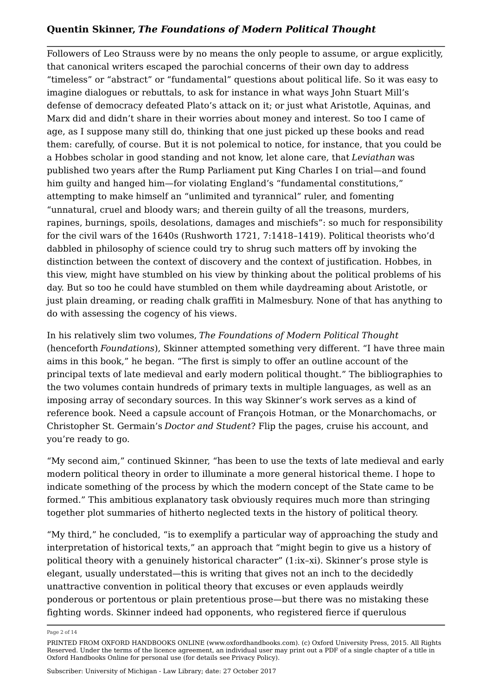Followers of Leo Strauss were by no means the only people to assume, or argue explicitly, that canonical writers escaped the parochial concerns of their own day to address "timeless" or "abstract" or "fundamental" questions about political life. So it was easy to imagine dialogues or rebuttals, to ask for instance in what ways John Stuart Mill's defense of democracy defeated Plato's attack on it; or just what Aristotle, Aquinas, and Marx did and didn't share in their worries about money and interest. So too I came of age, as I suppose many still do, thinking that one just picked up these books and read them: carefully, of course. But it is not polemical to notice, for instance, that you could be a Hobbes scholar in good standing and not know, let alone care, that *Leviathan* was published two years after the Rump Parliament put King Charles I on trial—and found him guilty and hanged him—for violating England's "fundamental constitutions," attempting to make himself an "unlimited and tyrannical" ruler, and fomenting "unnatural, cruel and bloody wars; and therein guilty of all the treasons, murders, rapines, burnings, spoils, desolations, damages and mischiefs": so much for responsibility for the civil wars of the 1640s (Rushworth 1721, 7:1418–1419). Political theorists who'd dabbled in philosophy of science could try to shrug such matters off by invoking the distinction between the context of discovery and the context of justification. Hobbes, in this view, might have stumbled on his view by thinking about the political problems of his day. But so too he could have stumbled on them while daydreaming about Aristotle, or just plain dreaming, or reading chalk graffiti in Malmesbury. None of that has anything to do with assessing the cogency of his views.

In his relatively slim two volumes, *The Foundations of Modern Political Thought* (henceforth *Foundations*), Skinner attempted something very different. "I have three main aims in this book," he began. "The first is simply to offer an outline account of the principal texts of late medieval and early modern political thought." The bibliographies to the two volumes contain hundreds of primary texts in multiple languages, as well as an imposing array of secondary sources. In this way Skinner's work serves as a kind of reference book. Need a capsule account of François Hotman, or the Monarchomachs, or Christopher St. Germain's *Doctor and Student*? Flip the pages, cruise his account, and you're ready to go.

"My second aim," continued Skinner, "has been to use the texts of late medieval and early modern political theory in order to illuminate a more general historical theme. I hope to indicate something of the process by which the modern concept of the State came to be formed." This ambitious explanatory task obviously requires much more than stringing together plot summaries of hitherto neglected texts in the history of political theory.

"My third," he concluded, "is to exemplify a particular way of approaching the study and interpretation of historical texts," an approach that "might begin to give us a history of political theory with a genuinely historical character" (1:ix–xi). Skinner's prose style is elegant, usually understated—this is writing that gives not an inch to the decidedly unattractive convention in political theory that excuses or even applauds weirdly ponderous or portentous or plain pretentious prose—but there was no mistaking these fighting words. Skinner indeed had opponents, who registered fierce if querulous

Page 2 of 14

PRINTED FROM OXFORD HANDBOOKS ONLINE (www.oxfordhandbooks.com). (c) Oxford University Press, 2015. All Rights Reserved. Under the terms of the licence agreement, an individual user may print out a PDF of a single chapter of a title in Oxford Handbooks Online for personal use (for details see Privacy Policy).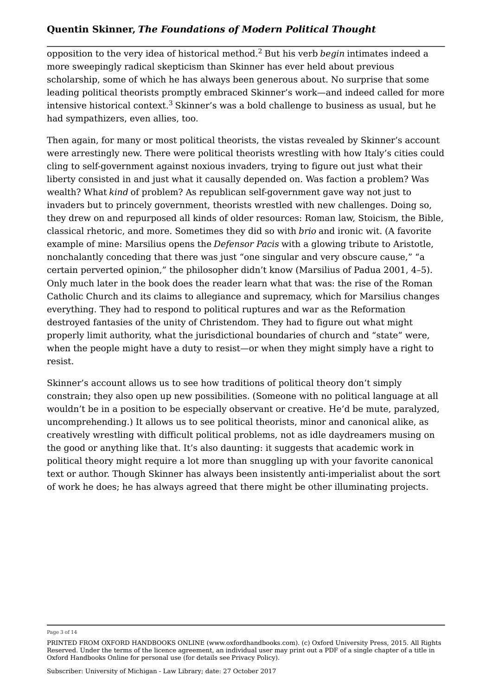opposition to the very idea of historical method.<sup>2</sup> But his verb *begin* intimates indeed a more sweepingly radical skepticism than Skinner has ever held about previous scholarship, some of which he has always been generous about. No surprise that some leading political theorists promptly embraced Skinner's work—and indeed called for more intensive historical context. $^3$  Skinner's was a bold challenge to business as usual, but he had sympathizers, even allies, too.

Then again, for many or most political theorists, the vistas revealed by Skinner's account were arrestingly new. There were political theorists wrestling with how Italy's cities could cling to self-government against noxious invaders, trying to figure out just what their liberty consisted in and just what it causally depended on. Was faction a problem? Was wealth? What *kind* of problem? As republican self-government gave way not just to invaders but to princely government, theorists wrestled with new challenges. Doing so, they drew on and repurposed all kinds of older resources: Roman law, Stoicism, the Bible, classical rhetoric, and more. Sometimes they did so with *brio* and ironic wit. (A favorite example of mine: Marsilius opens the *Defensor Pacis* with a glowing tribute to Aristotle, nonchalantly conceding that there was just "one singular and very obscure cause," "a certain perverted opinion," the philosopher didn't know (Marsilius of Padua 2001, 4–5). Only much later in the book does the reader learn what that was: the rise of the Roman Catholic Church and its claims to allegiance and supremacy, which for Marsilius changes everything. They had to respond to political ruptures and war as the Reformation destroyed fantasies of the unity of Christendom. They had to figure out what might properly limit authority, what the jurisdictional boundaries of church and "state" were, when the people might have a duty to resist—or when they might simply have a right to resist.

Skinner's account allows us to see how traditions of political theory don't simply constrain; they also open up new possibilities. (Someone with no political language at all wouldn't be in a position to be especially observant or creative. He'd be mute, paralyzed, uncomprehending.) It allows us to see political theorists, minor and canonical alike, as creatively wrestling with difficult political problems, not as idle daydreamers musing on the good or anything like that. It's also daunting: it suggests that academic work in political theory might require a lot more than snuggling up with your favorite canonical text or author. Though Skinner has always been insistently anti-imperialist about the sort of work he does; he has always agreed that there might be other illuminating projects.

#### Page 3 of 14

PRINTED FROM OXFORD HANDBOOKS ONLINE (www.oxfordhandbooks.com). (c) Oxford University Press, 2015. All Rights Reserved. Under the terms of the licence agreement, an individual user may print out a PDF of a single chapter of a title in Oxford Handbooks Online for personal use (for details see Privacy Policy).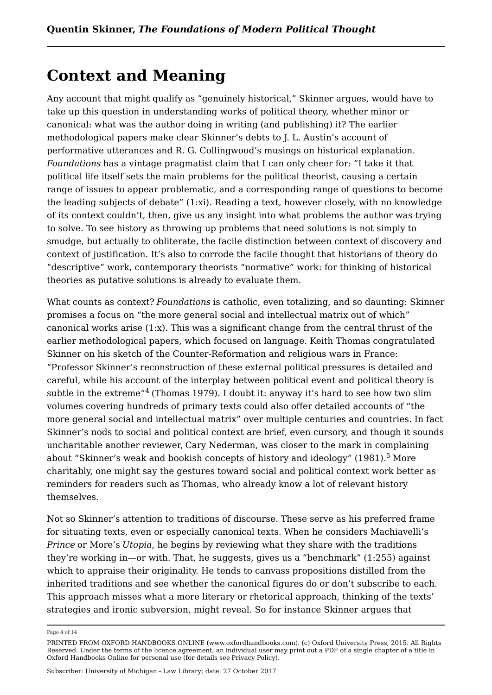### **Context and Meaning**

Any account that might qualify as "genuinely historical," Skinner argues, would have to take up this question in understanding works of political theory, whether minor or canonical: what was the author doing in writing (and publishing) it? The earlier methodological papers make clear Skinner's debts to J. L. Austin's account of performative utterances and R. G. Collingwood's musings on historical explanation. *Foundations* has a vintage pragmatist claim that I can only cheer for: "I take it that political life itself sets the main problems for the political theorist, causing a certain range of issues to appear problematic, and a corresponding range of questions to become the leading subjects of debate" (1:xi). Reading a text, however closely, with no knowledge of its context couldn't, then, give us any insight into what problems the author was trying to solve. To see history as throwing up problems that need solutions is not simply to smudge, but actually to obliterate, the facile distinction between context of discovery and context of justification. It's also to corrode the facile thought that historians of theory do "descriptive" work, contemporary theorists "normative" work: for thinking of historical theories as putative solutions is already to evaluate them.

What counts as context? *Foundations* is catholic, even totalizing, and so daunting: Skinner promises a focus on "the more general social and intellectual matrix out of which" canonical works arise (1:x). This was a significant change from the central thrust of the earlier methodological papers, which focused on language. Keith Thomas congratulated Skinner on his sketch of the Counter-Reformation and religious wars in France: "Professor Skinner's reconstruction of these external political pressures is detailed and careful, while his account of the interplay between political event and political theory is subtle in the extreme" $\rm ^4$  (Thomas 1979). I doubt it: anyway it's hard to see how two slim volumes covering hundreds of primary texts could also offer detailed accounts of "the more general social and intellectual matrix" over multiple centuries and countries. In fact Skinner's nods to social and political context are brief, even cursory, and though it sounds uncharitable another reviewer, Cary Nederman, was closer to the mark in complaining about "Skinner's weak and bookish concepts of history and ideology" (1981).<sup>5</sup> More charitably, one might say the gestures toward social and political context work better as reminders for readers such as Thomas, who already know a lot of relevant history themselves.

Not so Skinner's attention to traditions of discourse. These serve as his preferred frame for situating texts, even or especially canonical texts. When he considers Machiavelli's *Prince* or More's *Utopia*, he begins by reviewing what they share with the traditions they're working in—or with. That, he suggests, gives us a "benchmark" (1:255) against which to appraise their originality. He tends to canvass propositions distilled from the inherited traditions and see whether the canonical figures do or don't subscribe to each. This approach misses what a more literary or rhetorical approach, thinking of the texts' strategies and ironic subversion, might reveal. So for instance Skinner argues that

Page 4 of 14

PRINTED FROM OXFORD HANDBOOKS ONLINE (www.oxfordhandbooks.com). (c) Oxford University Press, 2015. All Rights Reserved. Under the terms of the licence agreement, an individual user may print out a PDF of a single chapter of a title in Oxford Handbooks Online for personal use (for details see Privacy Policy).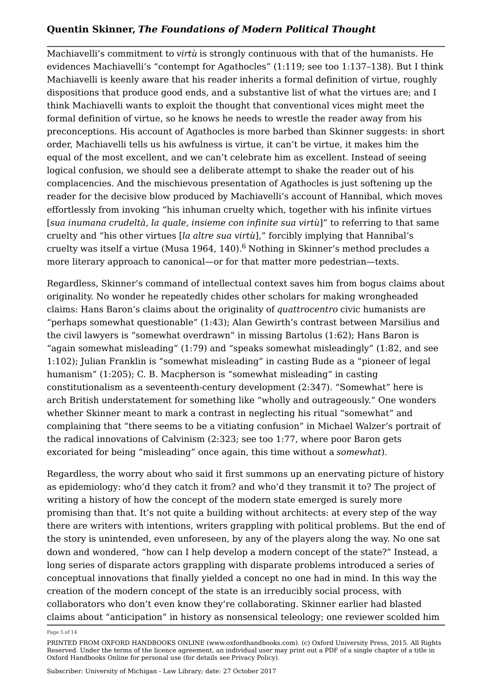Machiavelli's commitment to *virtù* is strongly continuous with that of the humanists. He evidences Machiavelli's "contempt for Agathocles" (1:119; see too 1:137–138). But I think Machiavelli is keenly aware that his reader inherits a formal definition of virtue, roughly dispositions that produce good ends, and a substantive list of what the virtues are; and I think Machiavelli wants to exploit the thought that conventional vices might meet the formal definition of virtue, so he knows he needs to wrestle the reader away from his preconceptions. His account of Agathocles is more barbed than Skinner suggests: in short order, Machiavelli tells us his awfulness is virtue, it can't be virtue, it makes him the equal of the most excellent, and we can't celebrate him as excellent. Instead of seeing logical confusion, we should see a deliberate attempt to shake the reader out of his complacencies. And the mischievous presentation of Agathocles is just softening up the reader for the decisive blow produced by Machiavelli's account of Hannibal, which moves effortlessly from invoking "his inhuman cruelty which, together with his infinite virtues [*sua inumana crudeltà, la quale, insieme con infinite sua virtù*]" to referring to that same cruelty and "his other virtues [*la altre sua virtù*]," forcibly implying that Hannibal's cruelty was itself a virtue (Musa 1964, 140).<sup>6</sup> Nothing in Skinner's method precludes a more literary approach to canonical—or for that matter more pedestrian—texts.

Regardless, Skinner's command of intellectual context saves him from bogus claims about originality. No wonder he repeatedly chides other scholars for making wrongheaded claims: Hans Baron's claims about the originality of *quattrocentro* civic humanists are "perhaps somewhat questionable" (1:43); Alan Gewirth's contrast between Marsilius and the civil lawyers is "somewhat overdrawn" in missing Bartolus (1:62); Hans Baron is "again somewhat misleading" (1:79) and "speaks somewhat misleadingly" (1:82, and see 1:102); Julian Franklin is "somewhat misleading" in casting Bude as a "pioneer of legal humanism" (1:205); C. B. Macpherson is "somewhat misleading" in casting constitutionalism as a seventeenth-century development (2:347). "Somewhat" here is arch British understatement for something like "wholly and outrageously." One wonders whether Skinner meant to mark a contrast in neglecting his ritual "somewhat" and complaining that "there seems to be a vitiating confusion" in Michael Walzer's portrait of the radical innovations of Calvinism (2:323; see too 1:77, where poor Baron gets excoriated for being "misleading" once again, this time without a *somewhat*).

Regardless, the worry about who said it first summons up an enervating picture of history as epidemiology: who'd they catch it from? and who'd they transmit it to? The project of writing a history of how the concept of the modern state emerged is surely more promising than that. It's not quite a building without architects: at every step of the way there are writers with intentions, writers grappling with political problems. But the end of the story is unintended, even unforeseen, by any of the players along the way. No one sat down and wondered, "how can I help develop a modern concept of the state?" Instead, a long series of disparate actors grappling with disparate problems introduced a series of conceptual innovations that finally yielded a concept no one had in mind. In this way the creation of the modern concept of the state is an irreducibly social process, with collaborators who don't even know they're collaborating. Skinner earlier had blasted claims about "anticipation" in history as nonsensical teleology; one reviewer scolded him

Page 5 of 14

PRINTED FROM OXFORD HANDBOOKS ONLINE (www.oxfordhandbooks.com). (c) Oxford University Press, 2015. All Rights Reserved. Under the terms of the licence agreement, an individual user may print out a PDF of a single chapter of a title in Oxford Handbooks Online for personal use (for details see Privacy Policy).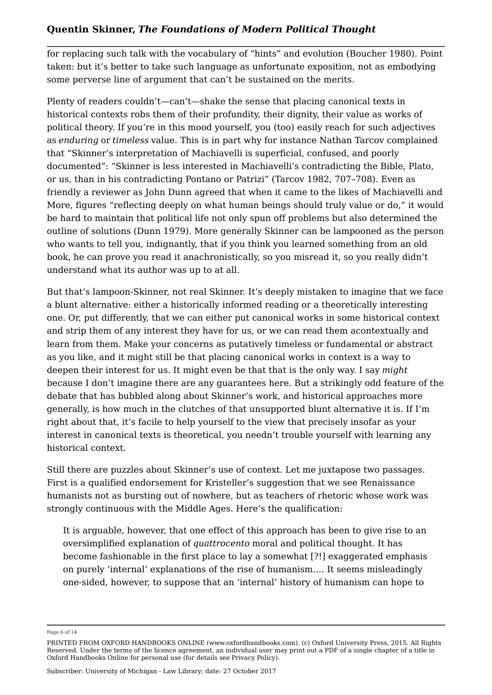for replacing such talk with the vocabulary of "hints" and evolution (Boucher 1980). Point taken: but it's better to take such language as unfortunate exposition, not as embodying some perverse line of argument that can't be sustained on the merits.

Plenty of readers couldn't—can't—shake the sense that placing canonical texts in historical contexts robs them of their profundity, their dignity, their value as works of political theory. If you're in this mood yourself, you (too) easily reach for such adjectives as *enduring* or *timeless* value. This is in part why for instance Nathan Tarcov complained that "Skinner's interpretation of Machiavelli is superficial, confused, and poorly documented": "Skinner is less interested in Machiavelli's contradicting the Bible, Plato, or us, than in his contradicting Pontano or Patrizi" (Tarcov 1982, 707–708). Even as friendly a reviewer as John Dunn agreed that when it came to the likes of Machiavelli and More, figures "reflecting deeply on what human beings should truly value or do," it would be hard to maintain that political life not only spun off problems but also determined the outline of solutions (Dunn 1979). More generally Skinner can be lampooned as the person who wants to tell you, indignantly, that if you think you learned something from an old book, he can prove you read it anachronistically, so you misread it, so you really didn't understand what its author was up to at all.

But that's lampoon-Skinner, not real Skinner. It's deeply mistaken to imagine that we face a blunt alternative: either a historically informed reading or a theoretically interesting one. Or, put differently, that we can either put canonical works in some historical context and strip them of any interest they have for us, or we can read them acontextually and learn from them. Make your concerns as putatively timeless or fundamental or abstract as you like, and it might still be that placing canonical works in context is a way to deepen their interest for us. It might even be that that is the only way. I say *might* because I don't imagine there are any guarantees here. But a strikingly odd feature of the debate that has bubbled along about Skinner's work, and historical approaches more generally, is how much in the clutches of that unsupported blunt alternative it is. If I'm right about that, it's facile to help yourself to the view that precisely insofar as your interest in canonical texts is theoretical, you needn't trouble yourself with learning any historical context.

Still there are puzzles about Skinner's use of context. Let me juxtapose two passages. First is a qualified endorsement for Kristeller's suggestion that we see Renaissance humanists not as bursting out of nowhere, but as teachers of rhetoric whose work was strongly continuous with the Middle Ages. Here's the qualification:

It is arguable, however, that one effect of this approach has been to give rise to an oversimplified explanation of *quattrocento* moral and political thought. It has become fashionable in the first place to lay a somewhat [?!] exaggerated emphasis on purely 'internal' explanations of the rise of humanism…. It seems misleadingly one-sided, however, to suppose that an 'internal' history of humanism can hope to

Page 6 of 14

PRINTED FROM OXFORD HANDBOOKS ONLINE (www.oxfordhandbooks.com). (c) Oxford University Press, 2015. All Rights Reserved. Under the terms of the licence agreement, an individual user may print out a PDF of a single chapter of a title in Oxford Handbooks Online for personal use (for details see Privacy Policy).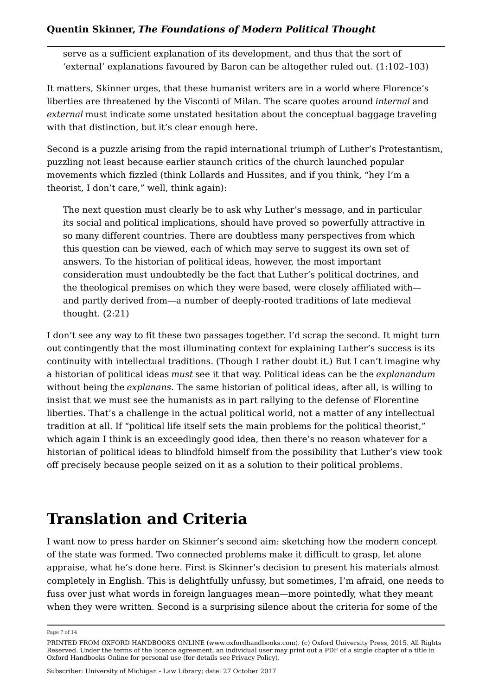serve as a sufficient explanation of its development, and thus that the sort of 'external' explanations favoured by Baron can be altogether ruled out. (1:102–103)

It matters, Skinner urges, that these humanist writers are in a world where Florence's liberties are threatened by the Visconti of Milan. The scare quotes around *internal* and *external* must indicate some unstated hesitation about the conceptual baggage traveling with that distinction, but it's clear enough here.

Second is a puzzle arising from the rapid international triumph of Luther's Protestantism, puzzling not least because earlier staunch critics of the church launched popular movements which fizzled (think Lollards and Hussites, and if you think, "hey I'm a theorist, I don't care," well, think again):

The next question must clearly be to ask why Luther's message, and in particular its social and political implications, should have proved so powerfully attractive in so many different countries. There are doubtless many perspectives from which this question can be viewed, each of which may serve to suggest its own set of answers. To the historian of political ideas, however, the most important consideration must undoubtedly be the fact that Luther's political doctrines, and the theological premises on which they were based, were closely affiliated with and partly derived from—a number of deeply-rooted traditions of late medieval thought. (2:21)

I don't see any way to fit these two passages together. I'd scrap the second. It might turn out contingently that the most illuminating context for explaining Luther's success is its continuity with intellectual traditions. (Though I rather doubt it.) But I can't imagine why a historian of political ideas *must* see it that way. Political ideas can be the *explanandum* without being the *explanans*. The same historian of political ideas, after all, is willing to insist that we must see the humanists as in part rallying to the defense of Florentine liberties. That's a challenge in the actual political world, not a matter of any intellectual tradition at all. If "political life itself sets the main problems for the political theorist," which again I think is an exceedingly good idea, then there's no reason whatever for a historian of political ideas to blindfold himself from the possibility that Luther's view took off precisely because people seized on it as a solution to their political problems.

## **Translation and Criteria**

I want now to press harder on Skinner's second aim: sketching how the modern concept of the state was formed. Two connected problems make it difficult to grasp, let alone appraise, what he's done here. First is Skinner's decision to present his materials almost completely in English. This is delightfully unfussy, but sometimes, I'm afraid, one needs to fuss over just what words in foreign languages mean—more pointedly, what they meant when they were written. Second is a surprising silence about the criteria for some of the

Page 7 of 14

PRINTED FROM OXFORD HANDBOOKS ONLINE (www.oxfordhandbooks.com). (c) Oxford University Press, 2015. All Rights Reserved. Under the terms of the licence agreement, an individual user may print out a PDF of a single chapter of a title in Oxford Handbooks Online for personal use (for details see Privacy Policy).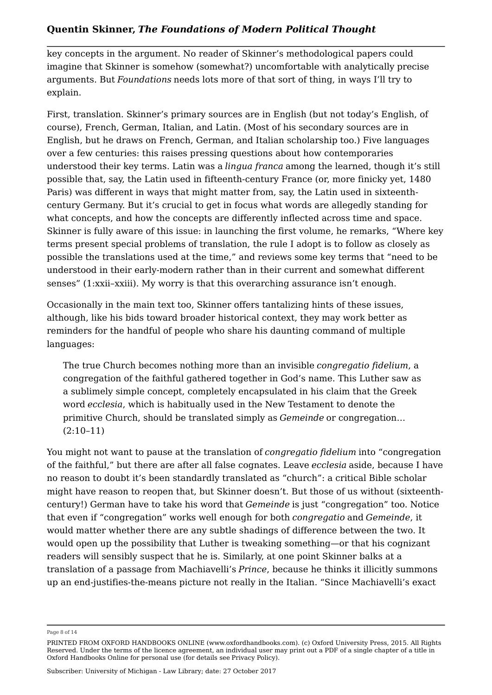key concepts in the argument. No reader of Skinner's methodological papers could imagine that Skinner is somehow (somewhat?) uncomfortable with analytically precise arguments. But *Foundations* needs lots more of that sort of thing, in ways I'll try to explain.

First, translation. Skinner's primary sources are in English (but not today's English, of course), French, German, Italian, and Latin. (Most of his secondary sources are in English, but he draws on French, German, and Italian scholarship too.) Five languages over a few centuries: this raises pressing questions about how contemporaries understood their key terms. Latin was a *lingua franca* among the learned, though it's still possible that, say, the Latin used in fifteenth-century France (or, more finicky yet, 1480 Paris) was different in ways that might matter from, say, the Latin used in sixteenthcentury Germany. But it's crucial to get in focus what words are allegedly standing for what concepts, and how the concepts are differently inflected across time and space. Skinner is fully aware of this issue: in launching the first volume, he remarks, "Where key terms present special problems of translation, the rule I adopt is to follow as closely as possible the translations used at the time," and reviews some key terms that "need to be understood in their early-modern rather than in their current and somewhat different senses" (1:xxii–xxiii). My worry is that this overarching assurance isn't enough.

Occasionally in the main text too, Skinner offers tantalizing hints of these issues, although, like his bids toward broader historical context, they may work better as reminders for the handful of people who share his daunting command of multiple languages:

The true Church becomes nothing more than an invisible *congregatio fidelium*, a congregation of the faithful gathered together in God's name. This Luther saw as a sublimely simple concept, completely encapsulated in his claim that the Greek word *ecclesia*, which is habitually used in the New Testament to denote the primitive Church, should be translated simply as *Gemeinde* or congregation… (2:10–11)

You might not want to pause at the translation of *congregatio fidelium* into "congregation of the faithful," but there are after all false cognates. Leave *ecclesia* aside, because I have no reason to doubt it's been standardly translated as "church": a critical Bible scholar might have reason to reopen that, but Skinner doesn't. But those of us without (sixteenthcentury!) German have to take his word that *Gemeinde* is just "congregation" too. Notice that even if "congregation" works well enough for both *congregatio* and *Gemeinde*, it would matter whether there are any subtle shadings of difference between the two. It would open up the possibility that Luther is tweaking something—or that his cognizant readers will sensibly suspect that he is. Similarly, at one point Skinner balks at a translation of a passage from Machiavelli's *Prince*, because he thinks it illicitly summons up an end-justifies-the-means picture not really in the Italian. "Since Machiavelli's exact

Page 8 of 14

PRINTED FROM OXFORD HANDBOOKS ONLINE (www.oxfordhandbooks.com). (c) Oxford University Press, 2015. All Rights Reserved. Under the terms of the licence agreement, an individual user may print out a PDF of a single chapter of a title in Oxford Handbooks Online for personal use (for details see Privacy Policy).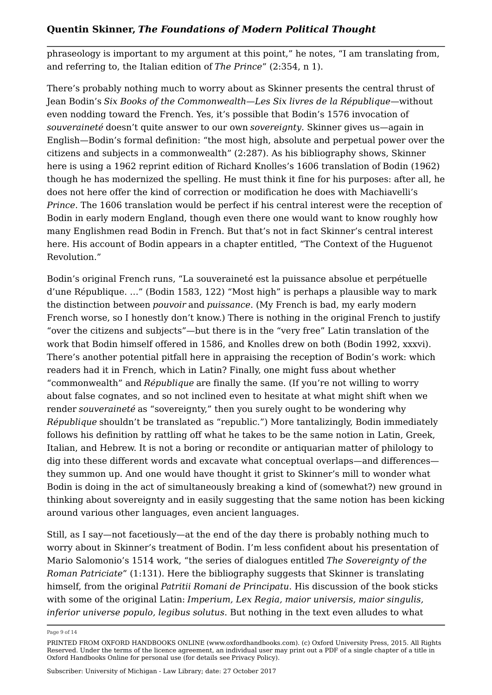phraseology is important to my argument at this point," he notes, "I am translating from, and referring to, the Italian edition of *The Prince*" (2:354, n 1).

There's probably nothing much to worry about as Skinner presents the central thrust of Jean Bodin's *Six Books of the Commonwealth*—*Les Six livres de la République*—without even nodding toward the French. Yes, it's possible that Bodin's 1576 invocation of *souveraineté* doesn't quite answer to our own *sovereignty*. Skinner gives us—again in English—Bodin's formal definition: "the most high, absolute and perpetual power over the citizens and subjects in a commonwealth" (2:287). As his bibliography shows, Skinner here is using a 1962 reprint edition of Richard Knolles's 1606 translation of Bodin (1962) though he has modernized the spelling. He must think it fine for his purposes: after all, he does not here offer the kind of correction or modification he does with Machiavelli's *Prince*. The 1606 translation would be perfect if his central interest were the reception of Bodin in early modern England, though even there one would want to know roughly how many Englishmen read Bodin in French. But that's not in fact Skinner's central interest here. His account of Bodin appears in a chapter entitled, "The Context of the Huguenot Revolution."

Bodin's original French runs, "La souveraineté est la puissance absolue et perpétuelle d'une République. …" (Bodin 1583, 122) "Most high" is perhaps a plausible way to mark the distinction between *pouvoir* and *puissance*. (My French is bad, my early modern French worse, so I honestly don't know.) There is nothing in the original French to justify "over the citizens and subjects"—but there is in the "very free" Latin translation of the work that Bodin himself offered in 1586, and Knolles drew on both (Bodin 1992, xxxvi). There's another potential pitfall here in appraising the reception of Bodin's work: which readers had it in French, which in Latin? Finally, one might fuss about whether "commonwealth" and *République* are finally the same. (If you're not willing to worry about false cognates, and so not inclined even to hesitate at what might shift when we render *souveraineté* as "sovereignty," then you surely ought to be wondering why *République* shouldn't be translated as "republic.") More tantalizingly, Bodin immediately follows his definition by rattling off what he takes to be the same notion in Latin, Greek, Italian, and Hebrew. It is not a boring or recondite or antiquarian matter of philology to dig into these different words and excavate what conceptual overlaps—and differences they summon up. And one would have thought it grist to Skinner's mill to wonder what Bodin is doing in the act of simultaneously breaking a kind of (somewhat?) new ground in thinking about sovereignty and in easily suggesting that the same notion has been kicking around various other languages, even ancient languages.

Still, as I say—not facetiously—at the end of the day there is probably nothing much to worry about in Skinner's treatment of Bodin. I'm less confident about his presentation of Mario Salomonio's 1514 work, "the series of dialogues entitled *The Sovereignty of the Roman Patriciate*" (1:131). Here the bibliography suggests that Skinner is translating himself, from the original *Patritii Romani de Principatu*. His discussion of the book sticks with some of the original Latin: *Imperium, Lex Regia, maior universis, maior singulis, inferior universe populo, legibus solutus*. But nothing in the text even alludes to what

Page 9 of 14

PRINTED FROM OXFORD HANDBOOKS ONLINE (www.oxfordhandbooks.com). (c) Oxford University Press, 2015. All Rights Reserved. Under the terms of the licence agreement, an individual user may print out a PDF of a single chapter of a title in Oxford Handbooks Online for personal use (for details see Privacy Policy).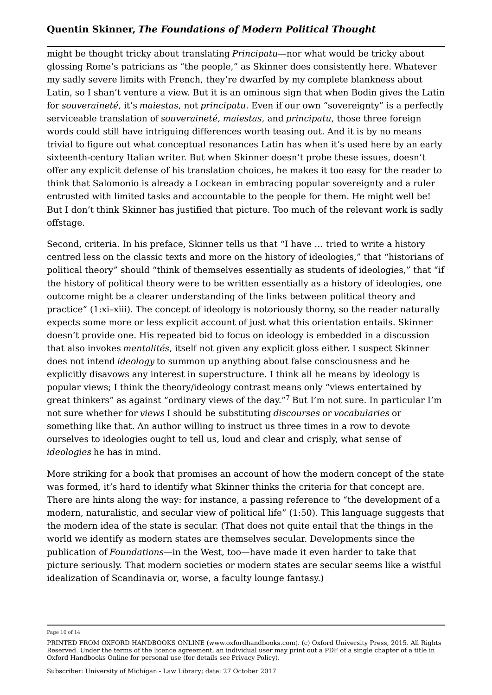might be thought tricky about translating *Principatu*—nor what would be tricky about glossing Rome's patricians as "the people," as Skinner does consistently here. Whatever my sadly severe limits with French, they're dwarfed by my complete blankness about Latin, so I shan't venture a view. But it is an ominous sign that when Bodin gives the Latin for *souveraineté*, it's *maiestas*, not *principatu*. Even if our own "sovereignty" is a perfectly serviceable translation of *souveraineté, maiestas*, and *principatu*, those three foreign words could still have intriguing differences worth teasing out. And it is by no means trivial to figure out what conceptual resonances Latin has when it's used here by an early sixteenth-century Italian writer. But when Skinner doesn't probe these issues, doesn't offer any explicit defense of his translation choices, he makes it too easy for the reader to think that Salomonio is already a Lockean in embracing popular sovereignty and a ruler entrusted with limited tasks and accountable to the people for them. He might well be! But I don't think Skinner has justified that picture. Too much of the relevant work is sadly offstage.

Second, criteria. In his preface, Skinner tells us that "I have … tried to write a history centred less on the classic texts and more on the history of ideologies," that "historians of political theory" should "think of themselves essentially as students of ideologies," that "if the history of political theory were to be written essentially as a history of ideologies, one outcome might be a clearer understanding of the links between political theory and practice" (1:xi–xiii). The concept of ideology is notoriously thorny, so the reader naturally expects some more or less explicit account of just what this orientation entails. Skinner doesn't provide one. His repeated bid to focus on ideology is embedded in a discussion that also invokes *mentalités*, itself not given any explicit gloss either. I suspect Skinner does not intend *ideology* to summon up anything about false consciousness and he explicitly disavows any interest in superstructure. I think all he means by ideology is popular views; I think the theory/ideology contrast means only "views entertained by great thinkers" as against "ordinary views of the day." $^7$  But I'm not sure. In particular I'm not sure whether for *views* I should be substituting *discourses* or *vocabularies* or something like that. An author willing to instruct us three times in a row to devote ourselves to ideologies ought to tell us, loud and clear and crisply, what sense of *ideologies* he has in mind.

More striking for a book that promises an account of how the modern concept of the state was formed, it's hard to identify what Skinner thinks the criteria for that concept are. There are hints along the way: for instance, a passing reference to "the development of a modern, naturalistic, and secular view of political life" (1:50). This language suggests that the modern idea of the state is secular. (That does not quite entail that the things in the world we identify as modern states are themselves secular. Developments since the publication of *Foundations*—in the West, too—have made it even harder to take that picture seriously. That modern societies or modern states are secular seems like a wistful idealization of Scandinavia or, worse, a faculty lounge fantasy.)

Page 10 of 14

PRINTED FROM OXFORD HANDBOOKS ONLINE (www.oxfordhandbooks.com). (c) Oxford University Press, 2015. All Rights Reserved. Under the terms of the licence agreement, an individual user may print out a PDF of a single chapter of a title in Oxford Handbooks Online for personal use (for details see Privacy Policy).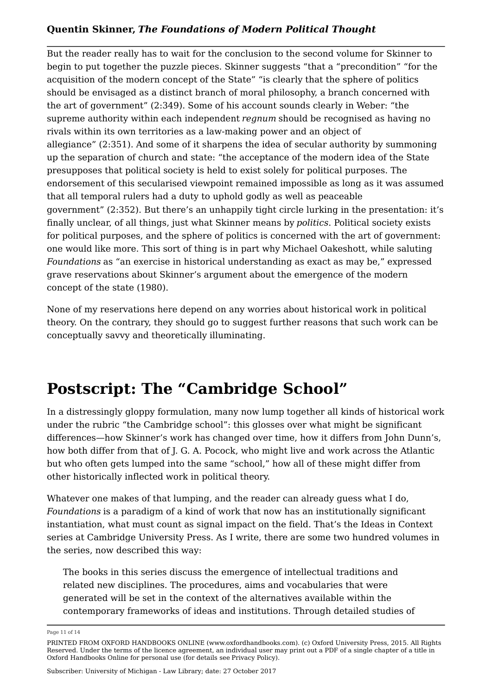But the reader really has to wait for the conclusion to the second volume for Skinner to begin to put together the puzzle pieces. Skinner suggests "that a "precondition" "for the acquisition of the modern concept of the State" "is clearly that the sphere of politics should be envisaged as a distinct branch of moral philosophy, a branch concerned with the art of government" (2:349). Some of his account sounds clearly in Weber: "the supreme authority within each independent *regnum* should be recognised as having no rivals within its own territories as a law-making power and an object of allegiance" (2:351). And some of it sharpens the idea of secular authority by summoning up the separation of church and state: "the acceptance of the modern idea of the State presupposes that political society is held to exist solely for political purposes. The endorsement of this secularised viewpoint remained impossible as long as it was assumed that all temporal rulers had a duty to uphold godly as well as peaceable government" (2:352). But there's an unhappily tight circle lurking in the presentation: it's finally unclear, of all things, just what Skinner means by *politics*. Political society exists for political purposes, and the sphere of politics is concerned with the art of government: one would like more. This sort of thing is in part why Michael Oakeshott, while saluting *Foundations* as "an exercise in historical understanding as exact as may be," expressed grave reservations about Skinner's argument about the emergence of the modern concept of the state (1980).

None of my reservations here depend on any worries about historical work in political theory. On the contrary, they should go to suggest further reasons that such work can be conceptually savvy and theoretically illuminating.

# **Postscript: The "Cambridge School"**

In a distressingly gloppy formulation, many now lump together all kinds of historical work under the rubric "the Cambridge school": this glosses over what might be significant differences—how Skinner's work has changed over time, how it differs from John Dunn's, how both differ from that of J. G. A. Pocock, who might live and work across the Atlantic but who often gets lumped into the same "school," how all of these might differ from other historically inflected work in political theory.

Whatever one makes of that lumping, and the reader can already guess what I do, *Foundations* is a paradigm of a kind of work that now has an institutionally significant instantiation, what must count as signal impact on the field. That's the Ideas in Context series at Cambridge University Press. As I write, there are some two hundred volumes in the series, now described this way:

The books in this series discuss the emergence of intellectual traditions and related new disciplines. The procedures, aims and vocabularies that were generated will be set in the context of the alternatives available within the contemporary frameworks of ideas and institutions. Through detailed studies of

Page 11 of 14

PRINTED FROM OXFORD HANDBOOKS ONLINE (www.oxfordhandbooks.com). (c) Oxford University Press, 2015. All Rights Reserved. Under the terms of the licence agreement, an individual user may print out a PDF of a single chapter of a title in Oxford Handbooks Online for personal use (for details see Privacy Policy).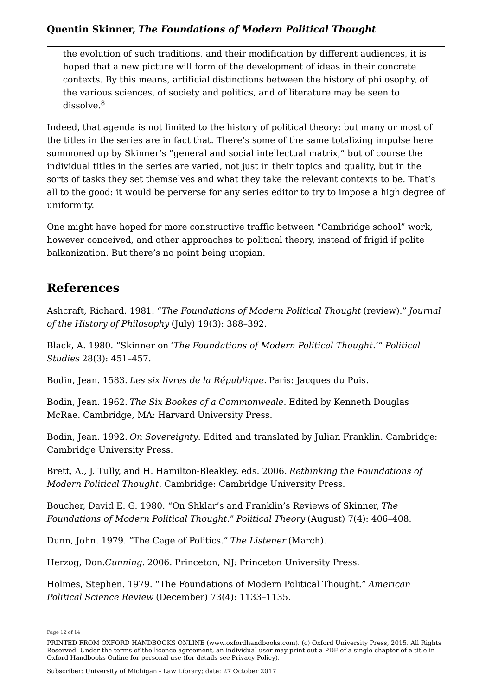the evolution of such traditions, and their modification by different audiences, it is hoped that a new picture will form of the development of ideas in their concrete contexts. By this means, artificial distinctions between the history of philosophy, of the various sciences, of society and politics, and of literature may be seen to dissolve. 8

Indeed, that agenda is not limited to the history of political theory: but many or most of the titles in the series are in fact that. There's some of the same totalizing impulse here summoned up by Skinner's "general and social intellectual matrix," but of course the individual titles in the series are varied, not just in their topics and quality, but in the sorts of tasks they set themselves and what they take the relevant contexts to be. That's all to the good: it would be perverse for any series editor to try to impose a high degree of uniformity.

One might have hoped for more constructive traffic between "Cambridge school" work, however conceived, and other approaches to political theory, instead of frigid if polite balkanization. But there's no point being utopian.

### **References**

Ashcraft, Richard. 1981. "*The Foundations of Modern Political Thought* (review)." *Journal of the History of Philosophy* (July) 19(3): 388–392.

Black, A. 1980. "Skinner on *'The Foundations of Modern Political Thought.'*" *Political Studies* 28(3): 451–457.

Bodin, Jean. 1583. *Les six livres de la République.* Paris: Jacques du Puis.

Bodin, Jean. 1962. *The Six Bookes of a Commonweale*. Edited by Kenneth Douglas McRae. Cambridge, MA: Harvard University Press.

Bodin, Jean. 1992. *On Sovereignty*. Edited and translated by Julian Franklin. Cambridge: Cambridge University Press.

Brett, A., J. Tully, and H. Hamilton-Bleakley. eds. 2006. *Rethinking the Foundations of Modern Political Thought*. Cambridge: Cambridge University Press.

Boucher, David E. G. 1980. "On Shklar's and Franklin's Reviews of Skinner, *The Foundations of Modern Political Thought.*" *Political Theory* (August) 7(4): 406–408.

Dunn, John. 1979. "The Cage of Politics." *The Listener* (March).

Herzog, Don.*Cunning.* 2006. Princeton, NJ: Princeton University Press.

Holmes, Stephen. 1979. "The Foundations of Modern Political Thought." *American Political Science Review* (December) 73(4): 1133–1135.

Page 12 of 14

PRINTED FROM OXFORD HANDBOOKS ONLINE (www.oxfordhandbooks.com). (c) Oxford University Press, 2015. All Rights Reserved. Under the terms of the licence agreement, an individual user may print out a PDF of a single chapter of a title in Oxford Handbooks Online for personal use (for details see Privacy Policy).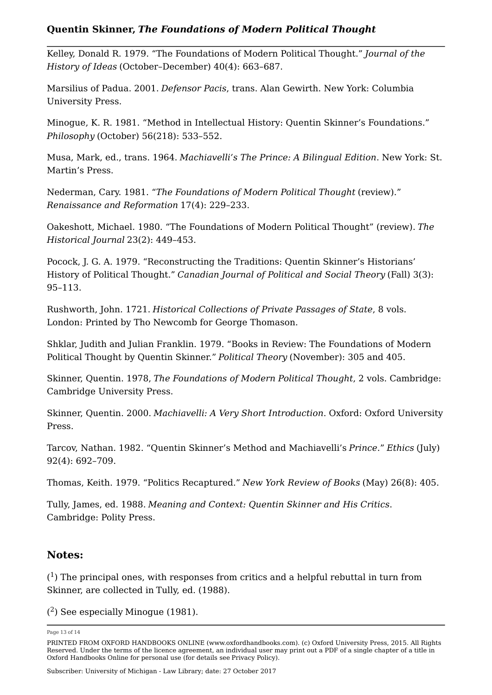Kelley, Donald R. 1979. "The Foundations of Modern Political Thought." *Journal of the History of Ideas* (October–December) 40(4): 663–687.

Marsilius of Padua. 2001. *Defensor Pacis*, trans. Alan Gewirth. New York: Columbia University Press.

Minogue, K. R. 1981. "Method in Intellectual History: Quentin Skinner's Foundations." *Philosophy* (October) 56(218): 533–552.

Musa, Mark, ed., trans. 1964. *Machiavelli's The Prince: A Bilingual Edition*. New York: St. Martin's Press.

Nederman, Cary. 1981. "*The Foundations of Modern Political Thought* (review)." *Renaissance and Reformation* 17(4): 229–233.

Oakeshott, Michael. 1980. "The Foundations of Modern Political Thought" (review). *The Historical Journal* 23(2): 449–453.

Pocock, J. G. A. 1979. "Reconstructing the Traditions: Quentin Skinner's Historians' History of Political Thought." *Canadian Journal of Political and Social Theory* (Fall) 3(3): 95–113.

Rushworth, John. 1721. *Historical Collections of Private Passages of State*, 8 vols. London: Printed by Tho Newcomb for George Thomason.

Shklar, Judith and Julian Franklin. 1979. "Books in Review: The Foundations of Modern Political Thought by Quentin Skinner." *Political Theory* (November): 305 and 405.

Skinner, Quentin. 1978, *The Foundations of Modern Political Thought*, 2 vols. Cambridge: Cambridge University Press.

Skinner, Quentin. 2000. *Machiavelli: A Very Short Introduction*. Oxford: Oxford University Press.

Tarcov, Nathan. 1982. "Quentin Skinner's Method and Machiavelli's *Prince*." *Ethics* (July) 92(4): 692–709.

Thomas, Keith. 1979. "Politics Recaptured." *New York Review of Books* (May) 26(8): 405.

Tully, James, ed. 1988. *Meaning and Context: Quentin Skinner and His Critics*. Cambridge: Polity Press.

#### **Notes:**

(<sup>1</sup>) The principal ones, with responses from critics and a helpful rebuttal in turn from<br>Skinner, are collected in Tully, ed. (1988).<br>(<sup>2</sup>) See especially Minogue (1981). Skinner, are collected in Tully, ed. (1988).

 $(2)$  See especially Minoque (1981).

Page 13 of 14

PRINTED FROM OXFORD HANDBOOKS ONLINE (www.oxfordhandbooks.com). (c) Oxford University Press, 2015. All Rights Reserved. Under the terms of the licence agreement, an individual user may print out a PDF of a single chapter of a title in Oxford Handbooks Online for personal use (for details see Privacy Policy).